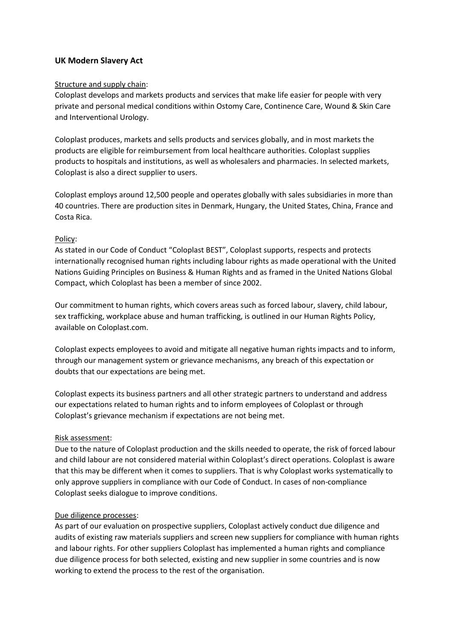# UK Modern Slavery Act

#### Structure and supply chain:

Coloplast develops and markets products and services that make life easier for people with very private and personal medical conditions within Ostomy Care, Continence Care, Wound & Skin Care and Interventional Urology.

Coloplast produces, markets and sells products and services globally, and in most markets the products are eligible for reimbursement from local healthcare authorities. Coloplast supplies products to hospitals and institutions, as well as wholesalers and pharmacies. In selected markets, Coloplast is also a direct supplier to users.

Coloplast employs around 12,500 people and operates globally with sales subsidiaries in more than 40 countries. There are production sites in Denmark, Hungary, the United States, China, France and Costa Rica.

#### Policy:

As stated in our Code of Conduct "Coloplast BEST", Coloplast supports, respects and protects internationally recognised human rights including labour rights as made operational with the United Nations Guiding Principles on Business & Human Rights and as framed in the United Nations Global Compact, which Coloplast has been a member of since 2002.

Our commitment to human rights, which covers areas such as forced labour, slavery, child labour, sex trafficking, workplace abuse and human trafficking, is outlined in our Human Rights Policy, available on Coloplast.com.

Coloplast expects employees to avoid and mitigate all negative human rights impacts and to inform, through our management system or grievance mechanisms, any breach of this expectation or doubts that our expectations are being met.

Coloplast expects its business partners and all other strategic partners to understand and address our expectations related to human rights and to inform employees of Coloplast or through Coloplast's grievance mechanism if expectations are not being met.

#### Risk assessment:

Due to the nature of Coloplast production and the skills needed to operate, the risk of forced labour and child labour are not considered material within Coloplast's direct operations. Coloplast is aware that this may be different when it comes to suppliers. That is why Coloplast works systematically to only approve suppliers in compliance with our Code of Conduct. In cases of non-compliance Coloplast seeks dialogue to improve conditions.

#### Due diligence processes:

As part of our evaluation on prospective suppliers, Coloplast actively conduct due diligence and audits of existing raw materials suppliers and screen new suppliers for compliance with human rights and labour rights. For other suppliers Coloplast has implemented a human rights and compliance due diligence process for both selected, existing and new supplier in some countries and is now working to extend the process to the rest of the organisation.